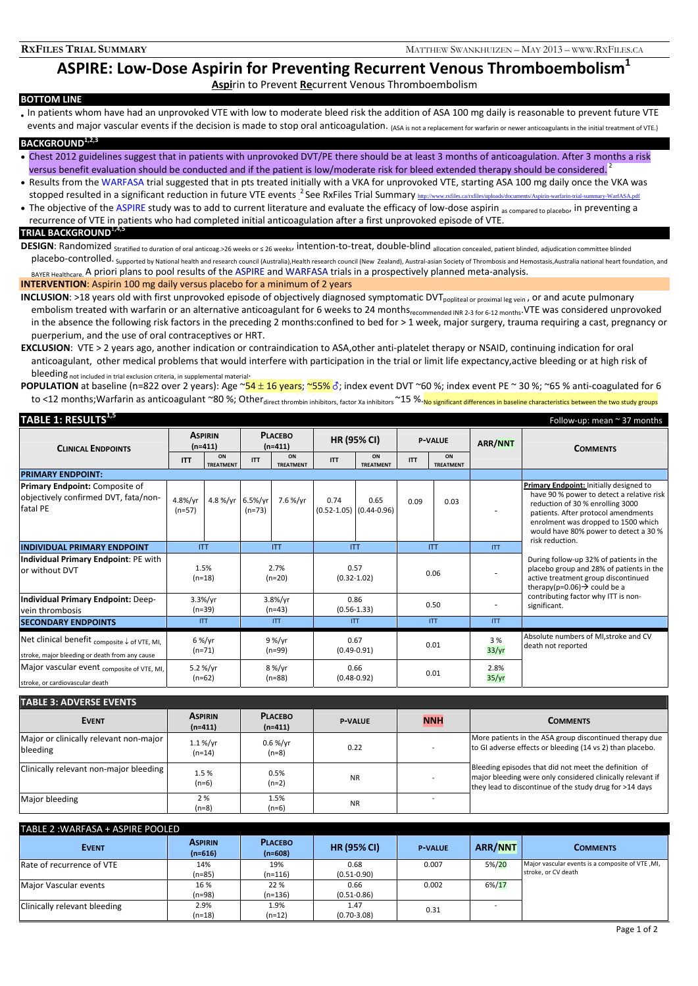# **ASPIRE: Low‐Dose Aspirin for Preventing Recurrent Venous Thromboembolism1**

# **Aspi**rin to Prevent **Re**current Venous Thromboembolism

### **BOTTOM LINE**

• In patients whom have had an unprovoked VTE with low to moderate bleed risk the addition of ASA 100 mg daily is reasonable to prevent future VTE events and maior vascular events if the decision is made to stop oral anticoagulation. <sub>{ASA is not a replacement</sub> for warfarin or newer anticoagulants in the initial treatment of VTE.}

## **BACKGROUND1,2,3**

- Chest 2012 guidelines suggest that in patients with unprovoked DVT/PE there should be at least 3 months of anticoagulation. After 3 months a risk versus benefit evaluation should be conducted and if the patient is low/moderate risk for bleed extended therapy should be considered. <sup>2</sup>
- Results from the WARFASA trial suggested that in pts treated initially with a VKA for unprovoked VTE, starting ASA 100 mg daily once the VKA was stopped resulted in a significant reduction in future VTE events <sup>2</sup> See RxFiles Trial Summary <u>http://www.rxfiles.ca/rxfiles/uploads/documents/Aspirin-warfarin-trial-summary-WarfASA.pdf</u>
- The objective of the ASPIRE study was to add to current literature and evaluate the efficacy of low-dose aspirin as compared to placebo, in preventing a recurrence of VTE in patients who had completed initial anticoagulation after a first unprovoked episode of VTE.

### **TRIAL BACKGROUND**<sup>1</sup>**,4,5**

**DESIGN**: Randomized <sub>Stratified to duration of oral anticoag.>26 weeks or ≤ 26 weeks, intention-to-treat, double-blind allocation concealed, patient blinded, adjudication committee blinded</sub>

placebo-controlled. Supported by National health and research council (Australia),Health research council (New Zealand), Austral-asian Society of Thrombosis and Hemostasis,Australia national heart foundation, and BAYER Healthcare. A priori plans to pool results of the ASPIRE and WARFASA trials in a prospectively planned meta-analysis.

#### **INTERVENTION**: Aspirin 100 mg daily versus placebo for a minimum of 2 years

**INCLUSION**: >18 years old with first unprovoked episode of objectively diagnosed symptomatic DVT<sub>popliteal or proximal leg vein</sub>, or and acute pulmonary embolism treated with warfarin or an alternative anticoagulant for 6 weeks to 24 monthsrecommended INR 2-3 for 6-12 months. VTE was considered unprovoked in the absence the following risk factors in the preceding 2 months:confined to bed for > 1 week, major surgery, trauma requiring a cast, pregnancy or puerperium, and the use of oral contraceptives or HRT.

**EXCLUSION**: VTE > 2 years ago, another indication or contraindication to ASA,other anti‐platelet therapy or NSAID, continuing indication for oral anticoagulant, other medical problems that would interfere with participation in the trial or limit life expectancy,active bleeding or at high risk of bleeding not included in trial exclusion criteria, in supplemental material-

**POPULATION** at baseline (n=822 over 2 years): Age ~54 ± 16 years; ~55% of; index event DVT ~60 %; index event PE ~ 30 %; ~65 % anti-coagulated for 6 to <12 months; Warfarin as anticoagulant ~80 %; Other direct thrombin inhibitors, factor Xa inhibitors ~15 %. No significant differences in baseline characteristics between the two study groups

| TABLE 1: RESULTS <sup>1,5</sup>                                                                           |                             |                        |                             |                        |                         |                                         |                |                        |                          | Follow-up: mean $\sim$ 37 months                                                                                                                                                                                                                |  |
|-----------------------------------------------------------------------------------------------------------|-----------------------------|------------------------|-----------------------------|------------------------|-------------------------|-----------------------------------------|----------------|------------------------|--------------------------|-------------------------------------------------------------------------------------------------------------------------------------------------------------------------------------------------------------------------------------------------|--|
| <b>CLINICAL ENDPOINTS</b>                                                                                 | <b>ASPIRIN</b><br>$(n=411)$ |                        | <b>PLACEBO</b><br>$(n=411)$ |                        | <b>HR (95% CI)</b>      |                                         | <b>P-VALUE</b> |                        | <b>ARR/NNT</b>           | <b>COMMENTS</b>                                                                                                                                                                                                                                 |  |
|                                                                                                           | <b>ITT</b>                  | ON<br><b>TREATMENT</b> | <b>ITT</b>                  | ON<br><b>TREATMENT</b> | <b>ITT</b>              | ON<br><b>TREATMENT</b>                  | <b>ITT</b>     | ON<br><b>TREATMENT</b> |                          |                                                                                                                                                                                                                                                 |  |
| <b>PRIMARY ENDPOINT:</b>                                                                                  |                             |                        |                             |                        |                         |                                         |                |                        |                          |                                                                                                                                                                                                                                                 |  |
| Primary Endpoint: Composite of<br>objectively confirmed DVT, fata/non-<br>fatal PE                        | 4.8%/yr<br>$(n=57)$         | 4.8 %/yr 6.5%/yr       | $(n=73)$                    | 7.6 %/vr               | 0.74                    | 0.65<br>$(0.52 - 1.05)$ $(0.44 - 0.96)$ | 0.09           | 0.03                   | $\overline{\phantom{a}}$ | Primary Endpoint: Initially designed to<br>have 90 % power to detect a relative risk<br>reduction of 30 % enrolling 3000<br>patients. After protocol amendments<br>enrolment was dropped to 1500 which<br>would have 80% power to detect a 30 % |  |
| <b>INDIVIDUAL PRIMARY ENDPOINT</b>                                                                        |                             | <b>ITT</b>             |                             | <b>ITT</b>             |                         | <b>ITT</b>                              |                | <b>ITT</b>             | <b>ITT</b>               | risk reduction.                                                                                                                                                                                                                                 |  |
| Individual Primary Endpoint: PE with<br>or without DVT                                                    | 1.5%<br>$(n=18)$            |                        | 2.7%<br>$(n=20)$            |                        | 0.57<br>$(0.32 - 1.02)$ |                                         | 0.06           |                        |                          | During follow-up 32% of patients in the<br>placebo group and 28% of patients in the<br>active treatment group discontinued<br>therapy(p=0.06) $\rightarrow$ could be a<br>contributing factor why ITT is non-<br>significant.                   |  |
| Individual Primary Endpoint: Deep-<br>vein thrombosis                                                     | 3.3%/yr<br>$(n=39)$         |                        | 3.8%/yr<br>$(n=43)$         |                        | 0.86<br>$(0.56 - 1.33)$ |                                         | 0.50           |                        |                          |                                                                                                                                                                                                                                                 |  |
| <b>SECONDARY ENDPOINTS</b>                                                                                | <b>ITT</b>                  |                        | <b>ITT</b>                  |                        | <b>ITT</b>              |                                         | <b>ITT</b>     |                        | <b>ITT</b>               |                                                                                                                                                                                                                                                 |  |
| Net clinical benefit <sub>composite</sub> ↓ of VTE, MI,<br>stroke, major bleeding or death from any cause | $6\%/yr$<br>$(n=71)$        |                        | 9 %/yr<br>$(n=99)$          |                        | 0.67<br>$(0.49 - 0.91)$ |                                         | 0.01           |                        | 3 %<br>33/yr             | Absolute numbers of MI, stroke and CV<br>death not reported                                                                                                                                                                                     |  |
| Major vascular event composite of VTE, MI,<br>stroke, or cardiovascular death                             | 5.2 %/yr<br>$(n=62)$        |                        | 8 %/yr<br>$(n=88)$          |                        | 0.66<br>$(0.48 - 0.92)$ |                                         |                | 0.01                   | 2.8%<br>35/yr            |                                                                                                                                                                                                                                                 |  |

| <b>TABLE 3: ADVERSE EVENTS</b>                     |                             |                                |                |            |                                                                                                                                                                                |  |
|----------------------------------------------------|-----------------------------|--------------------------------|----------------|------------|--------------------------------------------------------------------------------------------------------------------------------------------------------------------------------|--|
| <b>EVENT</b>                                       | <b>ASPIRIN</b><br>$(n=411)$ | <b>PLACEBO</b><br>$(n=411)$    | <b>P-VALUE</b> | <b>NNH</b> | <b>COMMENTS</b>                                                                                                                                                                |  |
| Major or clinically relevant non-major<br>bleeding | 1.1 %/vr<br>$(n=14)$        | $0.6\,\%/\text{yr}$<br>$(n=8)$ | 0.22           |            | More patients in the ASA group discontinued therapy due<br>to GI adverse effects or bleeding (14 vs 2) than placebo.                                                           |  |
| Clinically relevant non-major bleeding             | 1.5 %<br>$(n=6)$            | 0.5%<br>$(n=2)$                | <b>NR</b>      |            | Bleeding episodes that did not meet the definition of<br>major bleeding were only considered clinically relevant if<br>they lead to discontinue of the study drug for >14 days |  |
| Major bleeding                                     | 2%<br>$(n=8)$               | 1.5%<br>$(n=6)$                | <b>NR</b>      |            |                                                                                                                                                                                |  |

#### TABLE 2 :WARFASA + ASPIRE POOLED

| <b>EVENT</b>                 | <b>ASPIRIN</b><br>$(n=616)$ | <b>PLACEBO</b><br>$(n=608)$ | <b>HR (95% CI)</b> | <b>P-VALUE</b> | <b>ARR/NNT</b> | <b>COMMENTS</b>                                  |
|------------------------------|-----------------------------|-----------------------------|--------------------|----------------|----------------|--------------------------------------------------|
| Rate of recurrence of VTE    | 14%                         | 19%                         | 0.68               | 0.007          | 5%/20          | Major vascular events is a composite of VTE, MI, |
|                              | $(n=85)$                    | $(n=116)$                   | $(0.51 - 0.90)$    |                |                | stroke, or CV death                              |
| Major Vascular events        | 16 %                        | 22 %                        | 0.66               | 0.002          | $6\%/17$       |                                                  |
|                              | $(n=98)$                    | $(n=136)$                   | $(0.51 - 0.86)$    |                |                |                                                  |
| Clinically relevant bleeding | 2.9%                        | 1.9%                        | 1.47               | 0.31           |                |                                                  |
|                              | $(n=18)$                    | $(n=12)$                    | $(0.70 - 3.08)$    |                |                |                                                  |